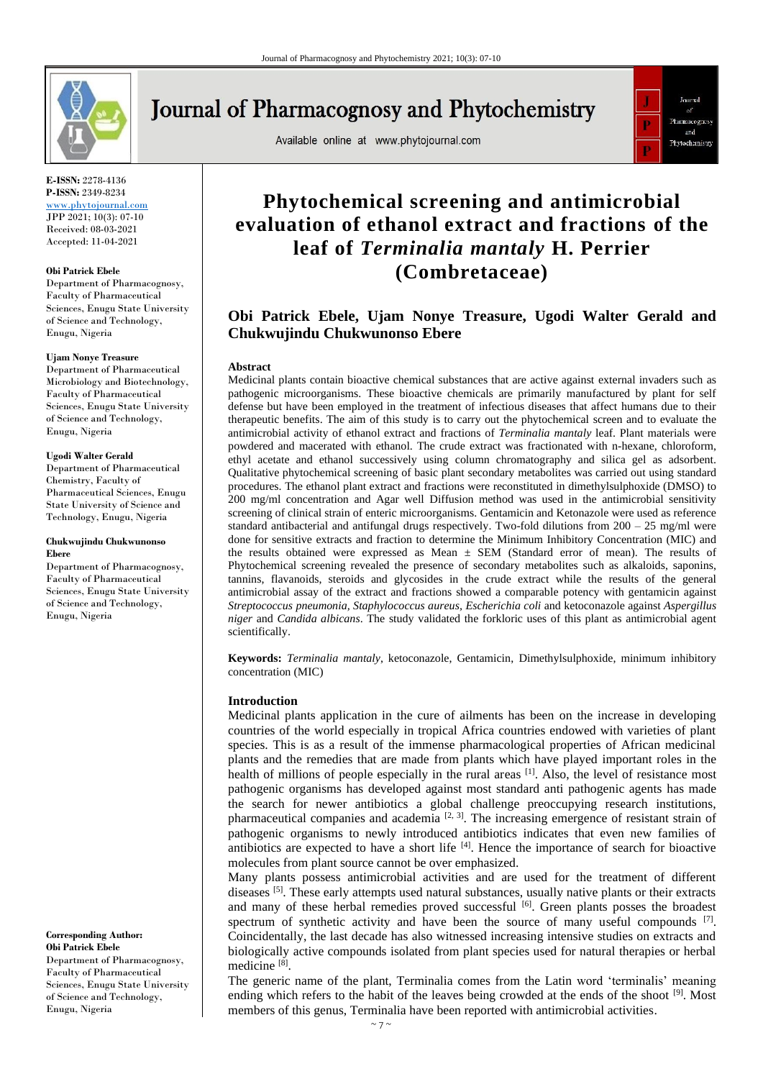

# **Journal of Pharmacognosy and Phytochemistry**

Available online at www.phytojournal.com



**E-ISSN:** 2278-4136 **P-ISSN:** 2349-8234 <www.phytojournal.com> JPP 2021; 10(3): 07-10

Received: 08-03-2021 Accepted: 11-04-2021

#### **Obi Patrick Ebele**

Department of Pharmacognosy, Faculty of Pharmaceutical Sciences, Enugu State University of Science and Technology, Enugu, Nigeria

#### **Ujam Nonye Treasure**

Department of Pharmaceutical Microbiology and Biotechnology, Faculty of Pharmaceutical Sciences, Enugu State University of Science and Technology, Enugu, Nigeria

#### **Ugodi Walter Gerald**

Department of Pharmaceutical Chemistry, Faculty of Pharmaceutical Sciences, Enugu State University of Science and Technology, Enugu, Nigeria

#### **Chukwujindu Chukwunonso Ebere**

Department of Pharmacognosy, Faculty of Pharmaceutical Sciences, Enugu State University of Science and Technology, Enugu, Nigeria

**Corresponding Author: Obi Patrick Ebele** Department of Pharmacognosy, Faculty of Pharmaceutical Sciences, Enugu State University of Science and Technology, Enugu, Nigeria

## **Phytochemical screening and antimicrobial evaluation of ethanol extract and fractions of the leaf of** *Terminalia mantaly* **H. Perrier (Combretaceae)**

### **Obi Patrick Ebele, Ujam Nonye Treasure, Ugodi Walter Gerald and Chukwujindu Chukwunonso Ebere**

#### **Abstract**

Medicinal plants contain bioactive chemical substances that are active against external invaders such as pathogenic microorganisms. These bioactive chemicals are primarily manufactured by plant for self defense but have been employed in the treatment of infectious diseases that affect humans due to their therapeutic benefits. The aim of this study is to carry out the phytochemical screen and to evaluate the antimicrobial activity of ethanol extract and fractions of *Terminalia mantaly* leaf. Plant materials were powdered and macerated with ethanol. The crude extract was fractionated with n-hexane, chloroform, ethyl acetate and ethanol successively using column chromatography and silica gel as adsorbent. Qualitative phytochemical screening of basic plant secondary metabolites was carried out using standard procedures. The ethanol plant extract and fractions were reconstituted in dimethylsulphoxide (DMSO) to 200 mg/ml concentration and Agar well Diffusion method was used in the antimicrobial sensitivity screening of clinical strain of enteric microorganisms. Gentamicin and Ketonazole were used as reference standard antibacterial and antifungal drugs respectively. Two-fold dilutions from 200 – 25 mg/ml were done for sensitive extracts and fraction to determine the Minimum Inhibitory Concentration (MIC) and the results obtained were expressed as Mean  $\pm$  SEM (Standard error of mean). The results of Phytochemical screening revealed the presence of secondary metabolites such as alkaloids, saponins, tannins, flavanoids, steroids and glycosides in the crude extract while the results of the general antimicrobial assay of the extract and fractions showed a comparable potency with gentamicin against *Streptococcus pneumonia, Staphylococcus aureus, Escherichia coli* and ketoconazole against *Aspergillus niger* and *Candida albicans*. The study validated the forkloric uses of this plant as antimicrobial agent scientifically.

**Keywords:** *Terminalia mantaly*, ketoconazole, Gentamicin, Dimethylsulphoxide, minimum inhibitory concentration (MIC)

#### **Introduction**

Medicinal plants application in the cure of ailments has been on the increase in developing countries of the world especially in tropical Africa countries endowed with varieties of plant species. This is as a result of the immense pharmacological properties of African medicinal plants and the remedies that are made from plants which have played important roles in the health of millions of people especially in the rural areas  $\left[1\right]$ . Also, the level of resistance most pathogenic organisms has developed against most standard anti pathogenic agents has made the search for newer antibiotics a global challenge preoccupying research institutions, pharmaceutical companies and academia  $[2, 3]$ . The increasing emergence of resistant strain of pathogenic organisms to newly introduced antibiotics indicates that even new families of antibiotics are expected to have a short life  $[4]$ . Hence the importance of search for bioactive molecules from plant source cannot be over emphasized.

Many plants possess antimicrobial activities and are used for the treatment of different diseases [5]. These early attempts used natural substances, usually native plants or their extracts and many of these herbal remedies proved successful  $\left[6\right]$ . Green plants posses the broadest spectrum of synthetic activity and have been the source of many useful compounds  $[7]$ . Coincidentally, the last decade has also witnessed increasing intensive studies on extracts and biologically active compounds isolated from plant species used for natural therapies or herbal medicine [8] .

The generic name of the plant, Terminalia comes from the Latin word 'terminalis' meaning ending which refers to the habit of the leaves being crowded at the ends of the shoot <sup>[9]</sup>. Most members of this genus, Terminalia have been reported with antimicrobial activities.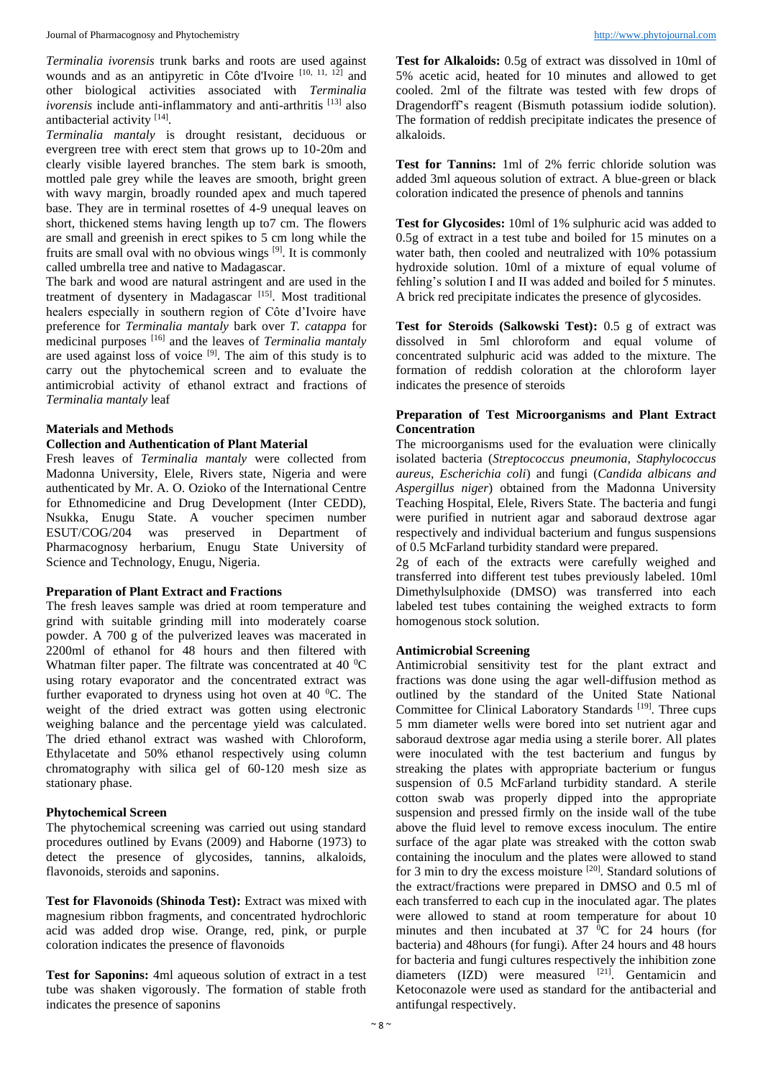*Terminalia ivorensis* trunk barks and roots are used against wounds and as an antipyretic in Côte d'Ivoire [10, 11, 12] and other biological activities associated with *Terminalia ivorensis* include anti-inflammatory and anti-arthritis<sup>[13]</sup> also antibacterial activity [14].

*Terminalia mantaly* is drought resistant, deciduous or evergreen tree with erect stem that grows up to 10-20m and clearly visible layered branches. The stem bark is smooth, mottled pale grey while the leaves are smooth, bright green with wavy margin, broadly rounded apex and much tapered base. They are in terminal rosettes of 4-9 unequal leaves on short, thickened stems having length up to7 cm. The flowers are small and greenish in erect spikes to 5 cm long while the fruits are small oval with no obvious wings [9]. It is commonly called umbrella tree and native to Madagascar.

The bark and wood are natural astringent and are used in the treatment of dysentery in Madagascar [15]. Most traditional healers especially in southern region of Côte d'Ivoire have preference for *Terminalia mantaly* bark over *T. catappa* for medicinal purposes [16] and the leaves of *Terminalia mantaly*  are used against loss of voice  $[9]$ . The aim of this study is to carry out the phytochemical screen and to evaluate the antimicrobial activity of ethanol extract and fractions of *Terminalia mantaly* leaf

#### **Materials and Methods**

#### **Collection and Authentication of Plant Material**

Fresh leaves of *Terminalia mantaly* were collected from Madonna University, Elele, Rivers state, Nigeria and were authenticated by Mr. A. O. Ozioko of the International Centre for Ethnomedicine and Drug Development (Inter CEDD), Nsukka, Enugu State. A voucher specimen number ESUT/COG/204 was preserved in Department of Pharmacognosy herbarium, Enugu State University of Science and Technology, Enugu, Nigeria.

#### **Preparation of Plant Extract and Fractions**

The fresh leaves sample was dried at room temperature and grind with suitable grinding mill into moderately coarse powder. A 700 g of the pulverized leaves was macerated in 2200ml of ethanol for 48 hours and then filtered with Whatman filter paper. The filtrate was concentrated at 40 $\mathrm{^{0}C}$ using rotary evaporator and the concentrated extract was further evaporated to dryness using hot oven at 40  $^{\circ}$ C. The weight of the dried extract was gotten using electronic weighing balance and the percentage yield was calculated. The dried ethanol extract was washed with Chloroform, Ethylacetate and 50% ethanol respectively using column chromatography with silica gel of 60-120 mesh size as stationary phase.

#### **Phytochemical Screen**

The phytochemical screening was carried out using standard procedures outlined by Evans (2009) and Haborne (1973) to detect the presence of glycosides, tannins, alkaloids, flavonoids, steroids and saponins.

**Test for Flavonoids (Shinoda Test):** Extract was mixed with magnesium ribbon fragments, and concentrated hydrochloric acid was added drop wise. Orange, red, pink, or purple coloration indicates the presence of flavonoids

**Test for Saponins:** 4ml aqueous solution of extract in a test tube was shaken vigorously. The formation of stable froth indicates the presence of saponins

**Test for Alkaloids:** 0.5g of extract was dissolved in 10ml of 5% acetic acid, heated for 10 minutes and allowed to get cooled. 2ml of the filtrate was tested with few drops of Dragendorff's reagent (Bismuth potassium iodide solution). The formation of reddish precipitate indicates the presence of alkaloids.

**Test for Tannins:** 1ml of 2% ferric chloride solution was added 3ml aqueous solution of extract. A blue-green or black coloration indicated the presence of phenols and tannins

**Test for Glycosides:** 10ml of 1% sulphuric acid was added to 0.5g of extract in a test tube and boiled for 15 minutes on a water bath, then cooled and neutralized with 10% potassium hydroxide solution. 10ml of a mixture of equal volume of fehling's solution I and II was added and boiled for 5 minutes. A brick red precipitate indicates the presence of glycosides.

**Test for Steroids (Salkowski Test):** 0.5 g of extract was dissolved in 5ml chloroform and equal volume of concentrated sulphuric acid was added to the mixture. The formation of reddish coloration at the chloroform layer indicates the presence of steroids

#### **Preparation of Test Microorganisms and Plant Extract Concentration**

The microorganisms used for the evaluation were clinically isolated bacteria (*Streptococcus pneumonia, Staphylococcus aureus, Escherichia coli*) and fungi (*Candida albicans and Aspergillus niger*) obtained from the Madonna University Teaching Hospital, Elele, Rivers State. The bacteria and fungi were purified in nutrient agar and saboraud dextrose agar respectively and individual bacterium and fungus suspensions of 0.5 McFarland turbidity standard were prepared.

2g of each of the extracts were carefully weighed and transferred into different test tubes previously labeled. 10ml Dimethylsulphoxide (DMSO) was transferred into each labeled test tubes containing the weighed extracts to form homogenous stock solution.

#### **Antimicrobial Screening**

Antimicrobial sensitivity test for the plant extract and fractions was done using the agar well-diffusion method as outlined by the standard of the United State National Committee for Clinical Laboratory Standards<sup>[19]</sup>. Three cups 5 mm diameter wells were bored into set nutrient agar and saboraud dextrose agar media using a sterile borer. All plates were inoculated with the test bacterium and fungus by streaking the plates with appropriate bacterium or fungus suspension of 0.5 McFarland turbidity standard. A sterile cotton swab was properly dipped into the appropriate suspension and pressed firmly on the inside wall of the tube above the fluid level to remove excess inoculum. The entire surface of the agar plate was streaked with the cotton swab containing the inoculum and the plates were allowed to stand for 3 min to dry the excess moisture [20]. Standard solutions of the extract/fractions were prepared in DMSO and 0.5 ml of each transferred to each cup in the inoculated agar. The plates were allowed to stand at room temperature for about 10 minutes and then incubated at  $37\text{ °C}$  for 24 hours (for bacteria) and 48hours (for fungi). After 24 hours and 48 hours for bacteria and fungi cultures respectively the inhibition zone diameters  $(IZD)$  were measured  $[21]$ . Gentamicin and Ketoconazole were used as standard for the antibacterial and antifungal respectively.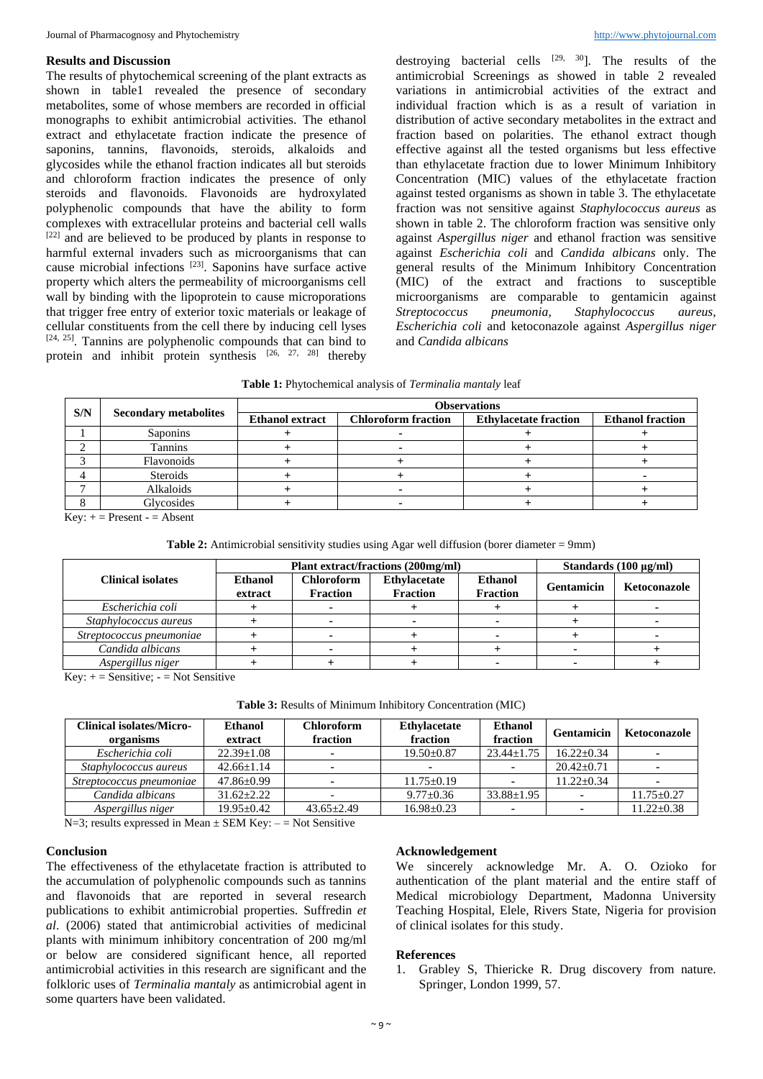#### **Results and Discussion**

destroying bacterial cells  $[29, 30]$ . The results of the

The results of phytochemical screening of the plant extracts as shown in table1 revealed the presence of secondary metabolites, some of whose members are recorded in official monographs to exhibit antimicrobial activities. The ethanol extract and ethylacetate fraction indicate the presence of saponins, tannins, flavonoids, steroids, alkaloids and glycosides while the ethanol fraction indicates all but steroids and chloroform fraction indicates the presence of only steroids and flavonoids. Flavonoids are hydroxylated polyphenolic compounds that have the ability to form complexes with extracellular proteins and bacterial cell walls [22] and are believed to be produced by plants in response to harmful external invaders such as microorganisms that can cause microbial infections [23] . Saponins have surface active property which alters the permeability of microorganisms cell wall by binding with the lipoprotein to cause microporations that trigger free entry of exterior toxic materials or leakage of cellular constituents from the cell there by inducing cell lyses  $[24, 25]$ . Tannins are polyphenolic compounds that can bind to protein and inhibit protein synthesis  $[26, 27, 28]$  thereby antimicrobial Screenings as showed in table 2 revealed variations in antimicrobial activities of the extract and individual fraction which is as a result of variation in distribution of active secondary metabolites in the extract and fraction based on polarities. The ethanol extract though effective against all the tested organisms but less effective than ethylacetate fraction due to lower Minimum Inhibitory Concentration (MIC) values of the ethylacetate fraction against tested organisms as shown in table 3. The ethylacetate fraction was not sensitive against *Staphylococcus aureus* as shown in table 2. The chloroform fraction was sensitive only against *Aspergillus niger* and ethanol fraction was sensitive against *Escherichia coli* and *Candida albicans* only. The general results of the Minimum Inhibitory Concentration (MIC) of the extract and fractions to susceptible microorganisms are comparable to gentamicin against *Streptococcus pneumonia, Staphylococcus aureus, Escherichia coli* and ketoconazole against *Aspergillus niger* and *Candida albicans*

| <b>Table 1:</b> Phytochemical analysis of <i>Terminalia mantaly</i> leaf |  |  |
|--------------------------------------------------------------------------|--|--|
|--------------------------------------------------------------------------|--|--|

| S/N | <b>Secondary metabolites</b> | <b>Observations</b>    |                            |                              |                         |  |  |
|-----|------------------------------|------------------------|----------------------------|------------------------------|-------------------------|--|--|
|     |                              | <b>Ethanol extract</b> | <b>Chloroform fraction</b> | <b>Ethylacetate fraction</b> | <b>Ethanol fraction</b> |  |  |
|     | Saponins                     |                        |                            |                              |                         |  |  |
|     | Tannins                      |                        |                            |                              |                         |  |  |
|     | Flavonoids                   |                        |                            |                              |                         |  |  |
|     | Steroids                     |                        |                            |                              |                         |  |  |
|     | Alkaloids                    |                        |                            |                              |                         |  |  |
|     | Glycosides                   |                        |                            |                              |                         |  |  |

 $Key: + = Present - = Absent$ 

| Table 2: Antimicrobial sensitivity studies using Agar well diffusion (borer diameter = 9mm) |  |  |  |
|---------------------------------------------------------------------------------------------|--|--|--|
|---------------------------------------------------------------------------------------------|--|--|--|

|                          |                           | Plant extract/fractions (200mg/ml)   |                                        |                                   |                   | Standards $(100 \mu g/ml)$ |  |
|--------------------------|---------------------------|--------------------------------------|----------------------------------------|-----------------------------------|-------------------|----------------------------|--|
| <b>Clinical isolates</b> | <b>Ethanol</b><br>extract | <b>Chloroform</b><br><b>Fraction</b> | <b>Ethylacetate</b><br><b>Fraction</b> | <b>Ethanol</b><br><b>Fraction</b> | <b>Gentamicin</b> | Ketoconazole               |  |
| Escherichia coli         |                           |                                      |                                        |                                   |                   |                            |  |
| Staphylococcus aureus    |                           |                                      |                                        |                                   |                   |                            |  |
| Streptococcus pneumoniae |                           |                                      |                                        |                                   |                   |                            |  |
| Candida albicans         |                           |                                      |                                        |                                   |                   |                            |  |
| Aspergillus niger        |                           |                                      |                                        |                                   |                   |                            |  |

Key:  $+$  = Sensitive;  $-$  = Not Sensitive

**Table 3:** Results of Minimum Inhibitory Concentration (MIC)

| <b>Clinical isolates/Micro-</b><br>organisms | <b>Ethanol</b><br>extract | <b>Chloroform</b><br>fraction | <b>Ethylacetate</b><br>fraction | <b>Ethanol</b><br>fraction | Gentamicin     | Ketoconazole     |
|----------------------------------------------|---------------------------|-------------------------------|---------------------------------|----------------------------|----------------|------------------|
| Escherichia coli                             | $22.39 \pm 1.08$          |                               | $19.50 + 0.87$                  | $23.44 + 1.75$             | $16.22+0.34$   |                  |
| Staphylococcus aureus                        | $42.66 + 1.14$            |                               |                                 |                            | $20.42 + 0.71$ |                  |
| Streptococcus pneumoniae                     | $47.86 + 0.99$            |                               | $11.75 \pm 0.19$                |                            | $11.22+0.34$   |                  |
| Candida albicans                             | $31.62 \pm 2.22$          |                               | $9.77 \pm 0.36$                 | $33.88 \pm 1.95$           |                | $11.75 \pm 0.27$ |
| Aspergillus niger                            | $19.95 \pm 0.42$          | $43.65 \pm 2.49$              | $16.98 \pm 0.23$                |                            |                | $11.22 + 0.38$   |

 $N=3$ ; results expressed in Mean  $\pm$  SEM Key:  $-$  = Not Sensitive

#### **Conclusion**

The effectiveness of the ethylacetate fraction is attributed to the accumulation of polyphenolic compounds such as tannins and flavonoids that are reported in several research publications to exhibit antimicrobial properties. Suffredin *et al*. (2006) stated that antimicrobial activities of medicinal plants with minimum inhibitory concentration of 200 mg/ml or below are considered significant hence, all reported antimicrobial activities in this research are significant and the folkloric uses of *Terminalia mantaly* as antimicrobial agent in some quarters have been validated.

#### **Acknowledgement**

We sincerely acknowledge Mr. A. O. Ozioko for authentication of the plant material and the entire staff of Medical microbiology Department, Madonna University Teaching Hospital, Elele, Rivers State, Nigeria for provision of clinical isolates for this study.

#### **References**

1. Grabley S, Thiericke R. Drug discovery from nature. Springer, London 1999, 57.